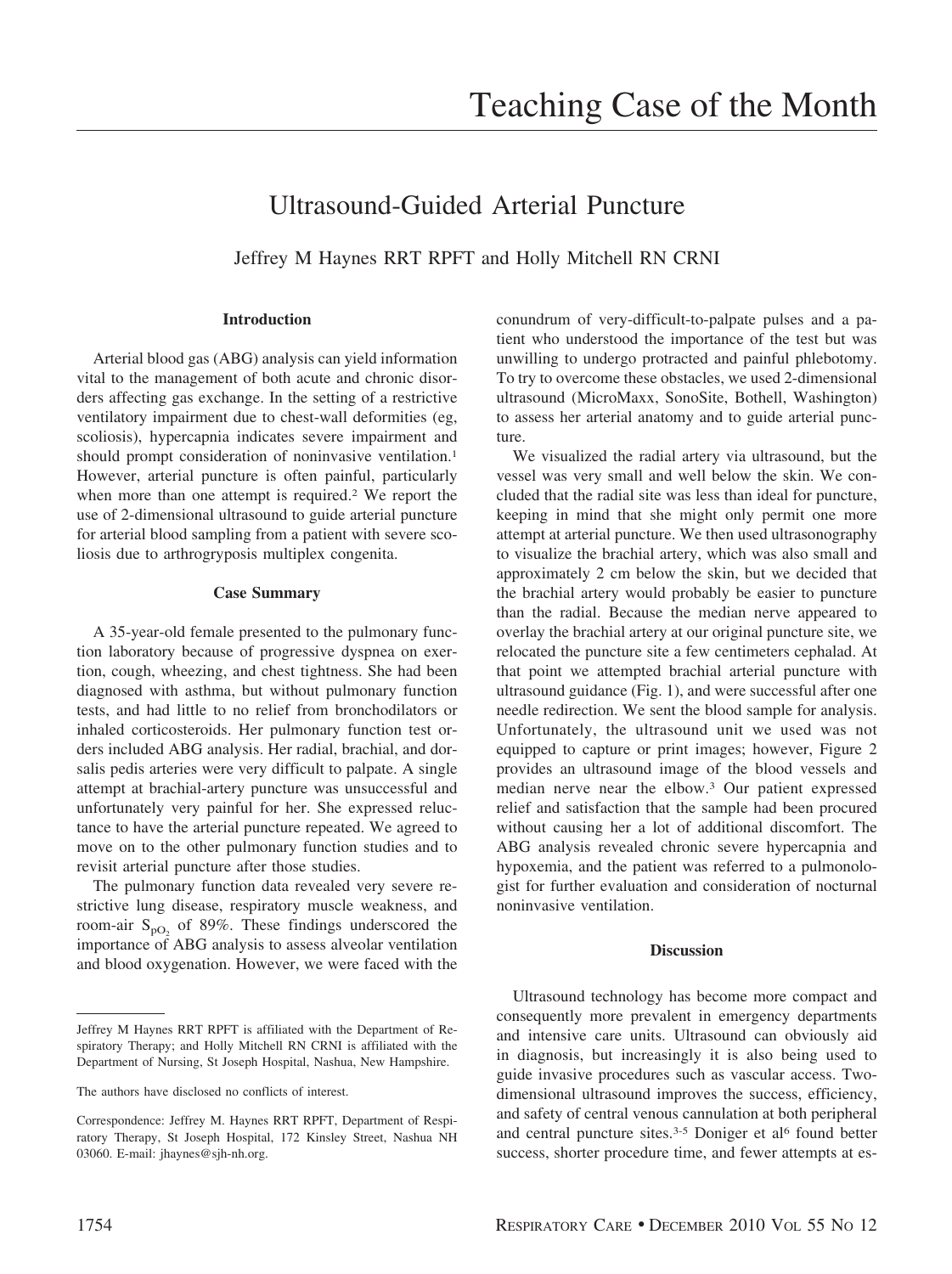# Ultrasound-Guided Arterial Puncture

Jeffrey M Haynes RRT RPFT and Holly Mitchell RN CRNI

## **Introduction**

Arterial blood gas (ABG) analysis can yield information vital to the management of both acute and chronic disorders affecting gas exchange. In the setting of a restrictive ventilatory impairment due to chest-wall deformities (eg, scoliosis), hypercapnia indicates severe impairment and should prompt consideration of noninvasive ventilation.<sup>1</sup> However, arterial puncture is often painful, particularly when more than one attempt is required.<sup>2</sup> We report the use of 2-dimensional ultrasound to guide arterial puncture for arterial blood sampling from a patient with severe scoliosis due to arthrogryposis multiplex congenita.

#### **Case Summary**

A 35-year-old female presented to the pulmonary function laboratory because of progressive dyspnea on exertion, cough, wheezing, and chest tightness. She had been diagnosed with asthma, but without pulmonary function tests, and had little to no relief from bronchodilators or inhaled corticosteroids. Her pulmonary function test orders included ABG analysis. Her radial, brachial, and dorsalis pedis arteries were very difficult to palpate. A single attempt at brachial-artery puncture was unsuccessful and unfortunately very painful for her. She expressed reluctance to have the arterial puncture repeated. We agreed to move on to the other pulmonary function studies and to revisit arterial puncture after those studies.

The pulmonary function data revealed very severe restrictive lung disease, respiratory muscle weakness, and room-air  $S_{pO}$  of 89%. These findings underscored the importance of ABG analysis to assess alveolar ventilation and blood oxygenation. However, we were faced with the conundrum of very-difficult-to-palpate pulses and a patient who understood the importance of the test but was unwilling to undergo protracted and painful phlebotomy. To try to overcome these obstacles, we used 2-dimensional ultrasound (MicroMaxx, SonoSite, Bothell, Washington) to assess her arterial anatomy and to guide arterial puncture.

We visualized the radial artery via ultrasound, but the vessel was very small and well below the skin. We concluded that the radial site was less than ideal for puncture, keeping in mind that she might only permit one more attempt at arterial puncture. We then used ultrasonography to visualize the brachial artery, which was also small and approximately 2 cm below the skin, but we decided that the brachial artery would probably be easier to puncture than the radial. Because the median nerve appeared to overlay the brachial artery at our original puncture site, we relocated the puncture site a few centimeters cephalad. At that point we attempted brachial arterial puncture with ultrasound guidance (Fig. 1), and were successful after one needle redirection. We sent the blood sample for analysis. Unfortunately, the ultrasound unit we used was not equipped to capture or print images; however, Figure 2 provides an ultrasound image of the blood vessels and median nerve near the elbow.3 Our patient expressed relief and satisfaction that the sample had been procured without causing her a lot of additional discomfort. The ABG analysis revealed chronic severe hypercapnia and hypoxemia, and the patient was referred to a pulmonologist for further evaluation and consideration of nocturnal noninvasive ventilation.

#### **Discussion**

Ultrasound technology has become more compact and consequently more prevalent in emergency departments and intensive care units. Ultrasound can obviously aid in diagnosis, but increasingly it is also being used to guide invasive procedures such as vascular access. Twodimensional ultrasound improves the success, efficiency, and safety of central venous cannulation at both peripheral and central puncture sites.<sup>3-5</sup> Doniger et al<sup>6</sup> found better success, shorter procedure time, and fewer attempts at es-

Jeffrey M Haynes RRT RPFT is affiliated with the Department of Respiratory Therapy; and Holly Mitchell RN CRNI is affiliated with the Department of Nursing, St Joseph Hospital, Nashua, New Hampshire.

The authors have disclosed no conflicts of interest.

Correspondence: Jeffrey M. Haynes RRT RPFT, Department of Respiratory Therapy, St Joseph Hospital, 172 Kinsley Street, Nashua NH 03060. E-mail: jhaynes@sjh-nh.org.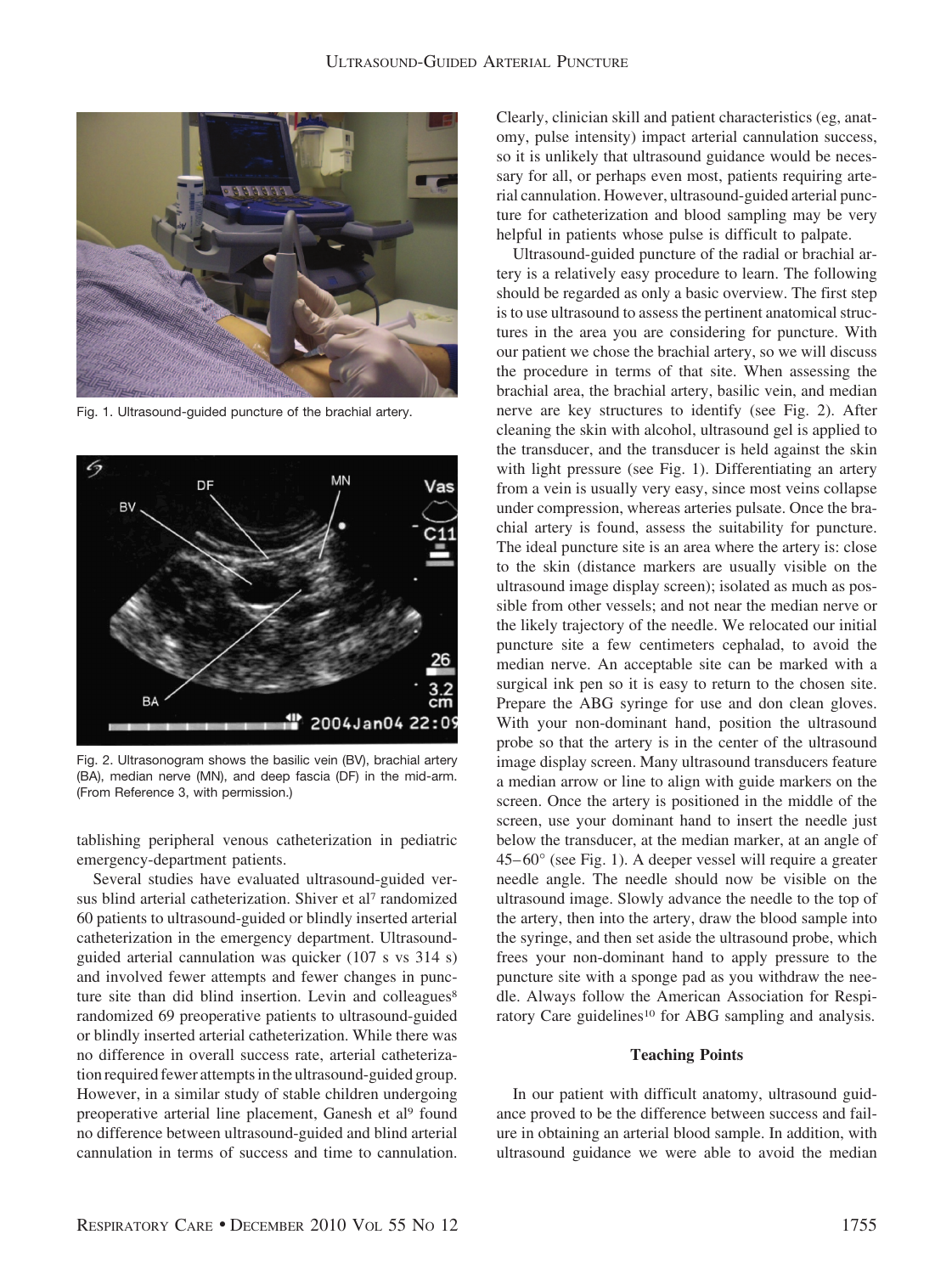

Fig. 1. Ultrasound-guided puncture of the brachial artery.



Fig. 2. Ultrasonogram shows the basilic vein (BV), brachial artery (BA), median nerve (MN), and deep fascia (DF) in the mid-arm. (From Reference 3, with permission.)

tablishing peripheral venous catheterization in pediatric emergency-department patients.

Several studies have evaluated ultrasound-guided versus blind arterial catheterization. Shiver et al<sup>7</sup> randomized 60 patients to ultrasound-guided or blindly inserted arterial catheterization in the emergency department. Ultrasoundguided arterial cannulation was quicker (107 s vs 314 s) and involved fewer attempts and fewer changes in puncture site than did blind insertion. Levin and colleagues<sup>8</sup> randomized 69 preoperative patients to ultrasound-guided or blindly inserted arterial catheterization. While there was no difference in overall success rate, arterial catheterization required fewer attempts in the ultrasound-guided group. However, in a similar study of stable children undergoing preoperative arterial line placement, Ganesh et al<sup>9</sup> found no difference between ultrasound-guided and blind arterial cannulation in terms of success and time to cannulation. Clearly, clinician skill and patient characteristics (eg, anatomy, pulse intensity) impact arterial cannulation success, so it is unlikely that ultrasound guidance would be necessary for all, or perhaps even most, patients requiring arterial cannulation. However, ultrasound-guided arterial puncture for catheterization and blood sampling may be very helpful in patients whose pulse is difficult to palpate.

Ultrasound-guided puncture of the radial or brachial artery is a relatively easy procedure to learn. The following should be regarded as only a basic overview. The first step is to use ultrasound to assess the pertinent anatomical structures in the area you are considering for puncture. With our patient we chose the brachial artery, so we will discuss the procedure in terms of that site. When assessing the brachial area, the brachial artery, basilic vein, and median nerve are key structures to identify (see Fig. 2). After cleaning the skin with alcohol, ultrasound gel is applied to the transducer, and the transducer is held against the skin with light pressure (see Fig. 1). Differentiating an artery from a vein is usually very easy, since most veins collapse under compression, whereas arteries pulsate. Once the brachial artery is found, assess the suitability for puncture. The ideal puncture site is an area where the artery is: close to the skin (distance markers are usually visible on the ultrasound image display screen); isolated as much as possible from other vessels; and not near the median nerve or the likely trajectory of the needle. We relocated our initial puncture site a few centimeters cephalad, to avoid the median nerve. An acceptable site can be marked with a surgical ink pen so it is easy to return to the chosen site. Prepare the ABG syringe for use and don clean gloves. With your non-dominant hand, position the ultrasound probe so that the artery is in the center of the ultrasound image display screen. Many ultrasound transducers feature a median arrow or line to align with guide markers on the screen. Once the artery is positioned in the middle of the screen, use your dominant hand to insert the needle just below the transducer, at the median marker, at an angle of  $45-60^{\circ}$  (see Fig. 1). A deeper vessel will require a greater needle angle. The needle should now be visible on the ultrasound image. Slowly advance the needle to the top of the artery, then into the artery, draw the blood sample into the syringe, and then set aside the ultrasound probe, which frees your non-dominant hand to apply pressure to the puncture site with a sponge pad as you withdraw the needle. Always follow the American Association for Respiratory Care guidelines<sup>10</sup> for ABG sampling and analysis.

#### **Teaching Points**

In our patient with difficult anatomy, ultrasound guidance proved to be the difference between success and failure in obtaining an arterial blood sample. In addition, with ultrasound guidance we were able to avoid the median